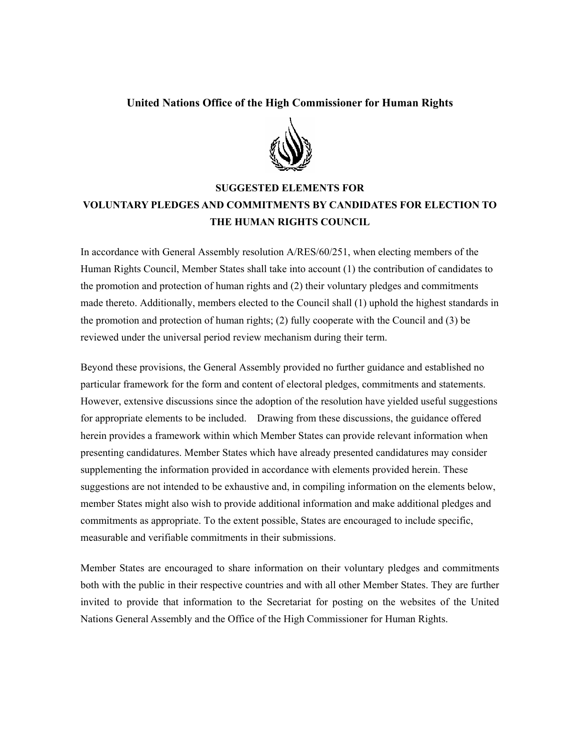## **United Nations Office of the High Commissioner for Human Rights**



## **SUGGESTED ELEMENTS FOR VOLUNTARY PLEDGES AND COMMITMENTS BY CANDIDATES FOR ELECTION TO THE HUMAN RIGHTS COUNCIL**

In accordance with General Assembly resolution A/RES/60/251, when electing members of the Human Rights Council, Member States shall take into account (1) the contribution of candidates to the promotion and protection of human rights and (2) their voluntary pledges and commitments made thereto. Additionally, members elected to the Council shall (1) uphold the highest standards in the promotion and protection of human rights; (2) fully cooperate with the Council and (3) be reviewed under the universal period review mechanism during their term.

Beyond these provisions, the General Assembly provided no further guidance and established no particular framework for the form and content of electoral pledges, commitments and statements. However, extensive discussions since the adoption of the resolution have yielded useful suggestions for appropriate elements to be included. Drawing from these discussions, the guidance offered herein provides a framework within which Member States can provide relevant information when presenting candidatures. Member States which have already presented candidatures may consider supplementing the information provided in accordance with elements provided herein. These suggestions are not intended to be exhaustive and, in compiling information on the elements below, member States might also wish to provide additional information and make additional pledges and commitments as appropriate. To the extent possible, States are encouraged to include specific, measurable and verifiable commitments in their submissions.

Member States are encouraged to share information on their voluntary pledges and commitments both with the public in their respective countries and with all other Member States. They are further invited to provide that information to the Secretariat for posting on the websites of the United Nations General Assembly and the Office of the High Commissioner for Human Rights.